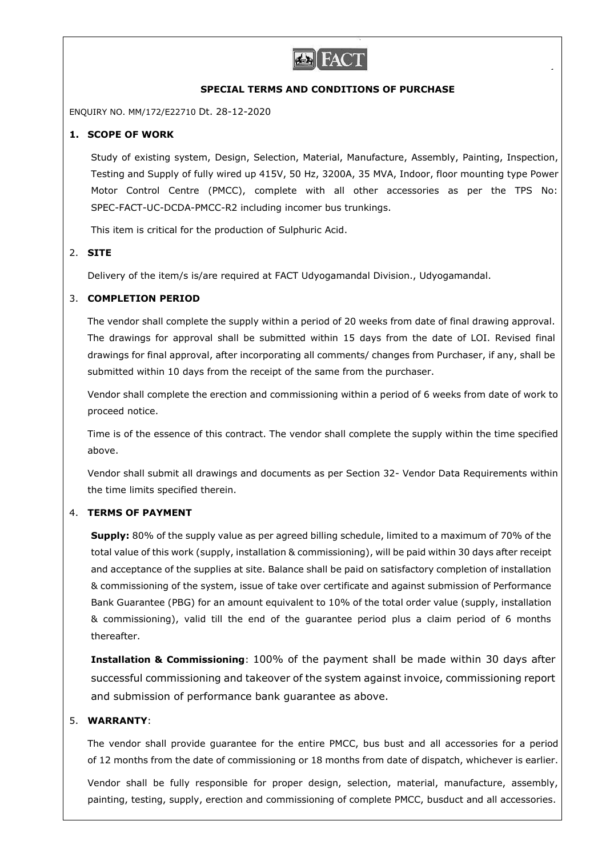

## **SPECIAL TERMS AND CONDITIONS OF PURCHASE**

ENQUIRY NO. MM/172/E22710 Dt. 28-12-2020

## **1. SCOPE OF WORK**

Study of existing system, Design, Selection, Material, Manufacture, Assembly, Painting, Inspection, Testing and Supply of fully wired up 415V, 50 Hz, 3200A, 35 MVA, Indoor, floor mounting type Power Motor Control Centre (PMCC), complete with all other accessories as per the TPS No: SPEC-FACT-UC-DCDA-PMCC-R2 including incomer bus trunkings.

This item is critical for the production of Sulphuric Acid.

## 2. **SITE**

Delivery of the item/s is/are required at FACT Udyogamandal Division., Udyogamandal.

## 3. **COMPLETION PERIOD**

The vendor shall complete the supply within a period of 20 weeks from date of final drawing approval. The drawings for approval shall be submitted within 15 days from the date of LOI. Revised final drawings for final approval, after incorporating all comments/ changes from Purchaser, if any, shall be submitted within 10 days from the receipt of the same from the purchaser.

Vendor shall complete the erection and commissioning within a period of 6 weeks from date of work to proceed notice.

Time is of the essence of this contract. The vendor shall complete the supply within the time specified above.

Vendor shall submit all drawings and documents as per Section 32- Vendor Data Requirements within the time limits specified therein.

### 4. **TERMS OF PAYMENT**

**Supply:** 80% of the supply value as per agreed billing schedule, limited to a maximum of 70% of the total value of this work (supply, installation & commissioning), will be paid within 30 days after receipt and acceptance of the supplies at site. Balance shall be paid on satisfactory completion of installation & commissioning of the system, issue of take over certificate and against submission of Performance Bank Guarantee (PBG) for an amount equivalent to 10% of the total order value (supply, installation & commissioning), valid till the end of the guarantee period plus a claim period of 6 months thereafter.

**Installation & Commissioning**: 100% of the payment shall be made within 30 days after successful commissioning and takeover of the system against invoice, commissioning report and submission of performance bank guarantee as above.

# 5. **WARRANTY**:

The vendor shall provide guarantee for the entire PMCC, bus bust and all accessories for a period of 12 months from the date of commissioning or 18 months from date of dispatch, whichever is earlier.

Vendor shall be fully responsible for proper design, selection, material, manufacture, assembly, painting, testing, supply, erection and commissioning of complete PMCC, busduct and all accessories.